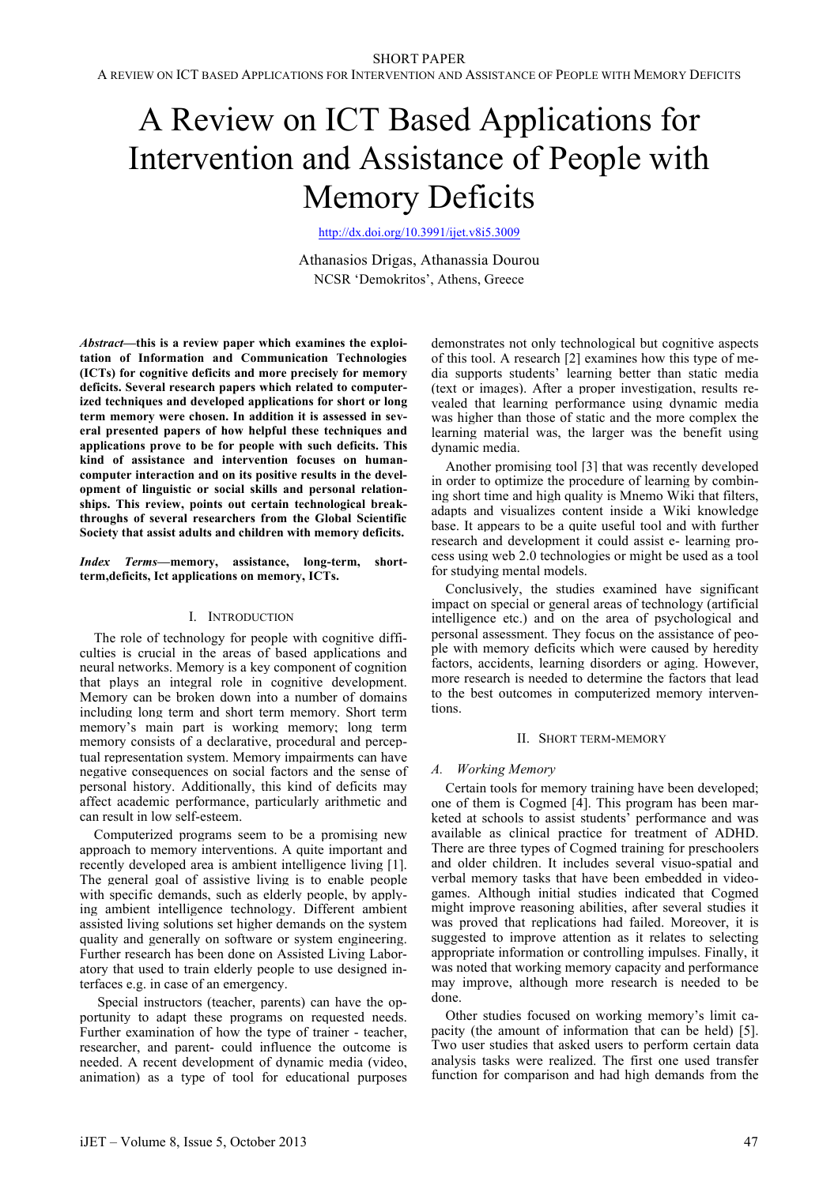A REVIEW ON ICT BASED APPLICATIONS FOR INTERVENTION AND ASSISTANCE OF PEOPLE WITH MEMORY DEFICITS

# A Review on ICT Based Applications for Intervention and Assistance of People with Memory Deficits

http://dx.doi.org/10.3991/ijet.v8i5.3009

Athanasios Drigas, Athanassia Dourou NCSR 'Demokritos', Athens, Greece

*Abstract***—this is a review paper which examines the exploitation of Information and Communication Technologies (ICTs) for cognitive deficits and more precisely for memory deficits. Several research papers which related to computerized techniques and developed applications for short or long term memory were chosen. In addition it is assessed in several presented papers of how helpful these techniques and applications prove to be for people with such deficits. This kind of assistance and intervention focuses on humancomputer interaction and on its positive results in the development of linguistic or social skills and personal relationships. This review, points out certain technological breakthroughs of several researchers from the Global Scientific Society that assist adults and children with memory deficits.**

*Index Terms***—memory, assistance, long-term, shortterm,deficits, Ict applications on memory, ICTs.** 

## I. INTRODUCTION

The role of technology for people with cognitive difficulties is crucial in the areas of based applications and neural networks. Memory is a key component of cognition that plays an integral role in cognitive development. Memory can be broken down into a number of domains including long term and short term memory. Short term memory's main part is working memory; long term memory consists of a declarative, procedural and perceptual representation system. Memory impairments can have negative consequences on social factors and the sense of personal history. Additionally, this kind of deficits may affect academic performance, particularly arithmetic and can result in low self-esteem.

Computerized programs seem to be a promising new approach to memory interventions. A quite important and recently developed area is ambient intelligence living [1]. The general goal of assistive living is to enable people with specific demands, such as elderly people, by applying ambient intelligence technology. Different ambient assisted living solutions set higher demands on the system quality and generally on software or system engineering. Further research has been done on Assisted Living Laboratory that used to train elderly people to use designed interfaces e.g. in case of an emergency.

Special instructors (teacher, parents) can have the opportunity to adapt these programs on requested needs. Further examination of how the type of trainer - teacher, researcher, and parent- could influence the outcome is needed. A recent development of dynamic media (video, animation) as a type of tool for educational purposes demonstrates not only technological but cognitive aspects of this tool. A research [2] examines how this type of media supports students' learning better than static media (text or images). After a proper investigation, results revealed that learning performance using dynamic media was higher than those of static and the more complex the learning material was, the larger was the benefit using dynamic media.

Another promising tool [3] that was recently developed in order to optimize the procedure of learning by combining short time and high quality is Mnemo Wiki that filters, adapts and visualizes content inside a Wiki knowledge base. It appears to be a quite useful tool and with further research and development it could assist e- learning process using web 2.0 technologies or might be used as a tool for studying mental models.

Conclusively, the studies examined have significant impact on special or general areas of technology (artificial intelligence etc.) and on the area of psychological and personal assessment. They focus on the assistance of people with memory deficits which were caused by heredity factors, accidents, learning disorders or aging. However, more research is needed to determine the factors that lead to the best outcomes in computerized memory interventions.

#### II. SHORT TERM-MEMORY

#### *A. Working Memory*

Certain tools for memory training have been developed; one of them is Cogmed [4]. This program has been marketed at schools to assist students' performance and was available as clinical practice for treatment of ADHD. There are three types of Cogmed training for preschoolers and older children. It includes several visuo-spatial and verbal memory tasks that have been embedded in videogames. Although initial studies indicated that Cogmed might improve reasoning abilities, after several studies it was proved that replications had failed. Moreover, it is suggested to improve attention as it relates to selecting appropriate information or controlling impulses. Finally, it was noted that working memory capacity and performance may improve, although more research is needed to be done.

Other studies focused on working memory's limit capacity (the amount of information that can be held) [5]. Two user studies that asked users to perform certain data analysis tasks were realized. The first one used transfer function for comparison and had high demands from the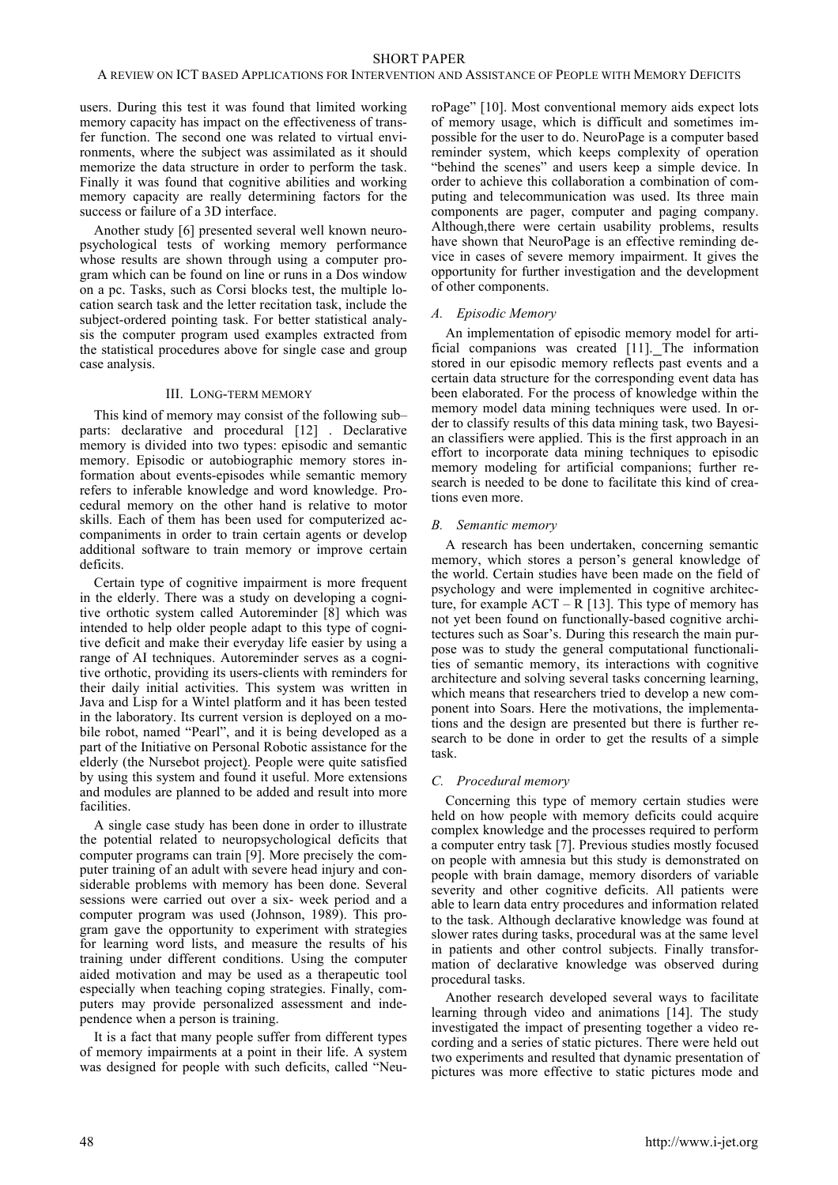users. During this test it was found that limited working memory capacity has impact on the effectiveness of transfer function. The second one was related to virtual environments, where the subject was assimilated as it should memorize the data structure in order to perform the task. Finally it was found that cognitive abilities and working memory capacity are really determining factors for the success or failure of a 3D interface.

Another study [6] presented several well known neuropsychological tests of working memory performance whose results are shown through using a computer program which can be found on line or runs in a Dos window on a pc. Tasks, such as Corsi blocks test, the multiple location search task and the letter recitation task, include the subject-ordered pointing task. For better statistical analysis the computer program used examples extracted from the statistical procedures above for single case and group case analysis.

# III. LONG-TERM MEMORY

This kind of memory may consist of the following sub– parts: declarative and procedural [12] . Declarative memory is divided into two types: episodic and semantic memory. Episodic or autobiographic memory stores information about events-episodes while semantic memory refers to inferable knowledge and word knowledge. Procedural memory on the other hand is relative to motor skills. Each of them has been used for computerized accompaniments in order to train certain agents or develop additional software to train memory or improve certain deficits.

Certain type of cognitive impairment is more frequent in the elderly. There was a study on developing a cognitive orthotic system called Autoreminder [8] which was intended to help older people adapt to this type of cognitive deficit and make their everyday life easier by using a range of AI techniques. Autoreminder serves as a cognitive orthotic, providing its users-clients with reminders for their daily initial activities. This system was written in Java and Lisp for a Wintel platform and it has been tested in the laboratory. Its current version is deployed on a mobile robot, named "Pearl", and it is being developed as a part of the Initiative on Personal Robotic assistance for the elderly (the Nursebot project). People were quite satisfied by using this system and found it useful. More extensions and modules are planned to be added and result into more facilities.

A single case study has been done in order to illustrate the potential related to neuropsychological deficits that computer programs can train [9]. More precisely the computer training of an adult with severe head injury and considerable problems with memory has been done. Several sessions were carried out over a six- week period and a computer program was used (Johnson, 1989). This program gave the opportunity to experiment with strategies for learning word lists, and measure the results of his training under different conditions. Using the computer aided motivation and may be used as a therapeutic tool especially when teaching coping strategies. Finally, computers may provide personalized assessment and independence when a person is training.

It is a fact that many people suffer from different types of memory impairments at a point in their life. A system was designed for people with such deficits, called "NeuroPage" [10]. Most conventional memory aids expect lots of memory usage, which is difficult and sometimes impossible for the user to do. NeuroPage is a computer based reminder system, which keeps complexity of operation "behind the scenes" and users keep a simple device. In order to achieve this collaboration a combination of computing and telecommunication was used. Its three main components are pager, computer and paging company. Although,there were certain usability problems, results have shown that NeuroPage is an effective reminding device in cases of severe memory impairment. It gives the opportunity for further investigation and the development of other components.

# *A. Episodic Memory*

An implementation of episodic memory model for artificial companions was created [11]. The information stored in our episodic memory reflects past events and a certain data structure for the corresponding event data has been elaborated. For the process of knowledge within the memory model data mining techniques were used. In order to classify results of this data mining task, two Bayesian classifiers were applied. This is the first approach in an effort to incorporate data mining techniques to episodic memory modeling for artificial companions; further research is needed to be done to facilitate this kind of creations even more.

## *B. Semantic memory*

A research has been undertaken, concerning semantic memory, which stores a person's general knowledge of the world. Certain studies have been made on the field of psychology and were implemented in cognitive architecture, for example  $ACT - R$  [13]. This type of memory has not yet been found on functionally-based cognitive architectures such as Soar's. During this research the main purpose was to study the general computational functionalities of semantic memory, its interactions with cognitive architecture and solving several tasks concerning learning, which means that researchers tried to develop a new component into Soars. Here the motivations, the implementations and the design are presented but there is further research to be done in order to get the results of a simple task.

# *C. Procedural memory*

Concerning this type of memory certain studies were held on how people with memory deficits could acquire complex knowledge and the processes required to perform a computer entry task [7]. Previous studies mostly focused on people with amnesia but this study is demonstrated on people with brain damage, memory disorders of variable severity and other cognitive deficits. All patients were able to learn data entry procedures and information related to the task. Although declarative knowledge was found at slower rates during tasks, procedural was at the same level in patients and other control subjects. Finally transformation of declarative knowledge was observed during procedural tasks.

Another research developed several ways to facilitate learning through video and animations [14]. The study investigated the impact of presenting together a video recording and a series of static pictures. There were held out two experiments and resulted that dynamic presentation of pictures was more effective to static pictures mode and